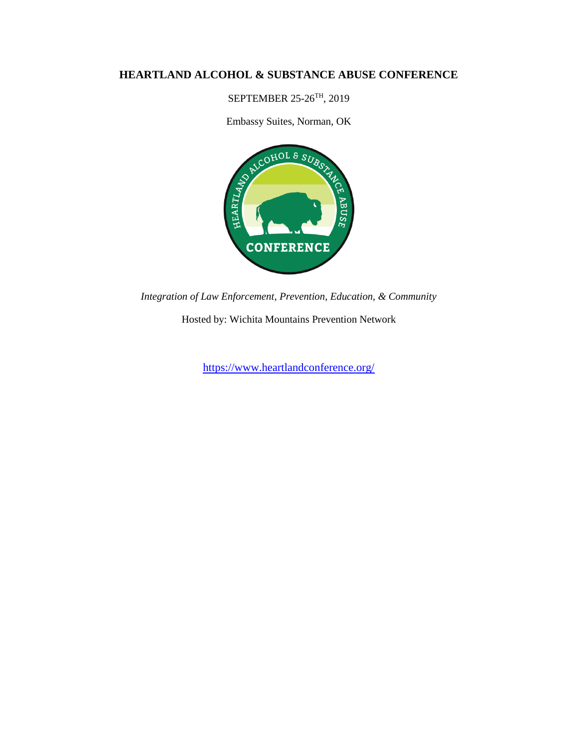# **HEARTLAND ALCOHOL & SUBSTANCE ABUSE CONFERENCE**

SEPTEMBER 25-26TH, 2019

Embassy Suites, Norman, OK



*Integration of Law Enforcement, Prevention, Education, & Community*

Hosted by: Wichita Mountains Prevention Network

<https://www.heartlandconference.org/>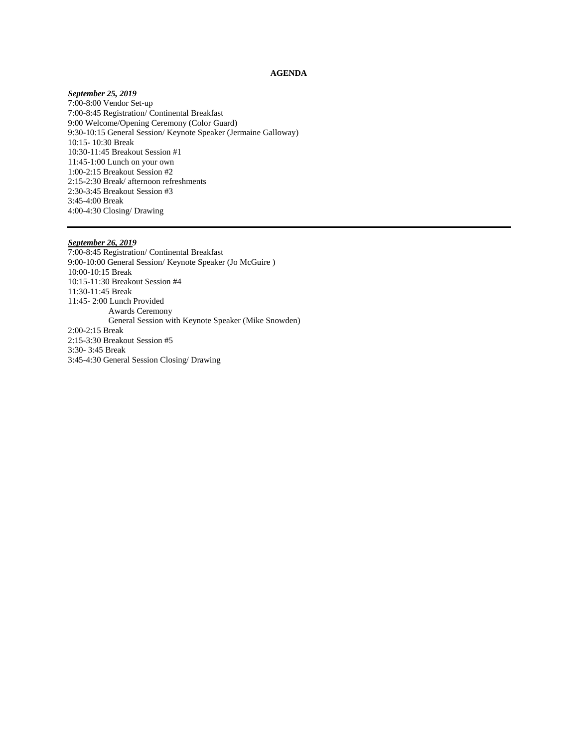# **AGENDA**

#### *September 25, 2019*

7:00-8:00 Vendor Set-up 7:00-8:45 Registration/ Continental Breakfast 9:00 Welcome/Opening Ceremony (Color Guard) 9:30-10:15 General Session/ Keynote Speaker (Jermaine Galloway) 10:15- 10:30 Break 10:30-11:45 Breakout Session #1 11:45-1:00 Lunch on your own 1:00-2:15 Breakout Session #2 2:15-2:30 Break/ afternoon refreshments 2:30-3:45 Breakout Session #3 3:45-4:00 Break 4:00-4:30 Closing/ Drawing

#### *September 26, 2019*

7:00-8:45 Registration/ Continental Breakfast 9:00-10:00 General Session/ Keynote Speaker (Jo McGuire ) 10:00-10:15 Break 10:15-11:30 Breakout Session #4 11:30-11:45 Break 11:45- 2:00 Lunch Provided Awards Ceremony General Session with Keynote Speaker (Mike Snowden) 2:00-2:15 Break 2:15-3:30 Breakout Session #5 3:30- 3:45 Break 3:45-4:30 General Session Closing/ Drawing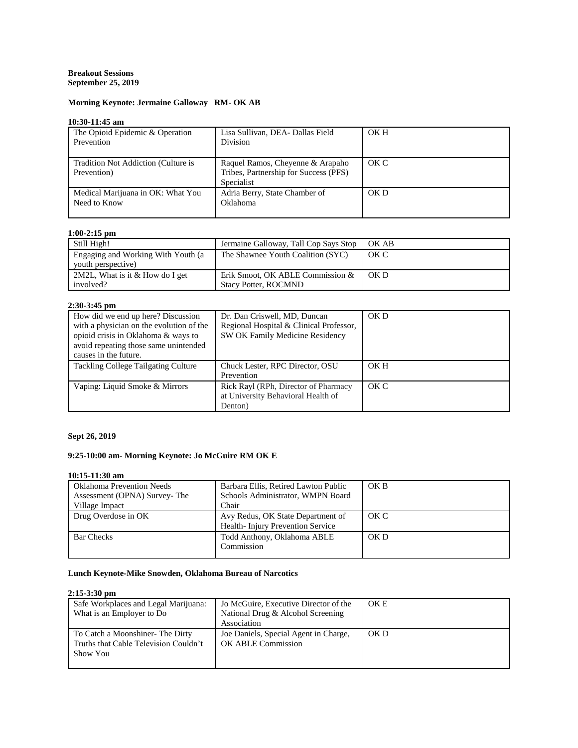# **Breakout Sessions September 25, 2019**

# **Morning Keynote: Jermaine Galloway RM- OK AB**

# **10:30-11:45 am**

| The Opioid Epidemic & Operation<br>Prevention      | Lisa Sullivan, DEA- Dallas Field<br>Division                                            | OK H |
|----------------------------------------------------|-----------------------------------------------------------------------------------------|------|
| Tradition Not Addiction (Culture is<br>Prevention) | Raquel Ramos, Cheyenne & Arapaho<br>Tribes, Partnership for Success (PFS)<br>Specialist | OKC  |
| Medical Marijuana in OK: What You<br>Need to Know  | Adria Berry, State Chamber of<br>Oklahoma                                               | OKD  |

# **1:00-2:15 pm**

| Still High!                                              | Jermaine Galloway, Tall Cop Says Stop                           | OK AB |
|----------------------------------------------------------|-----------------------------------------------------------------|-------|
| Engaging and Working With Youth (a<br>youth perspective) | The Shawnee Youth Coalition (SYC)                               | OK C  |
| 2M2L, What is it $&$ How do I get<br>involved?           | Erik Smoot, OK ABLE Commission &<br><b>Stacy Potter, ROCMND</b> | OKD   |

### **2:30-3:45 pm**

| .                                          |                                         |      |
|--------------------------------------------|-----------------------------------------|------|
| How did we end up here? Discussion         | Dr. Dan Criswell, MD, Duncan            | OKD  |
| with a physician on the evolution of the   | Regional Hospital & Clinical Professor, |      |
| opioid crisis in Oklahoma & ways to        | SW OK Family Medicine Residency         |      |
| avoid repeating those same unintended      |                                         |      |
| causes in the future.                      |                                         |      |
| <b>Tackling College Tailgating Culture</b> | Chuck Lester, RPC Director, OSU         | OK H |
|                                            | Prevention                              |      |
| Vaping: Liquid Smoke & Mirrors             | Rick Rayl (RPh, Director of Pharmacy    | OK C |
|                                            | at University Behavioral Health of      |      |
|                                            | Denton)                                 |      |

# **Sept 26, 2019**

# **9:25-10:00 am- Morning Keynote: Jo McGuire RM OK E**

# **10:15-11:30 am**

| <b>Oklahoma Prevention Needs</b> | Barbara Ellis, Retired Lawton Public | OK B |
|----------------------------------|--------------------------------------|------|
| Assessment (OPNA) Survey-The     | Schools Administrator, WMPN Board    |      |
| Village Impact                   | Chair                                |      |
| Drug Overdose in OK              | Avy Redus, OK State Department of    | OK C |
|                                  | Health-Injury Prevention Service     |      |
| <b>Bar Checks</b>                | Todd Anthony, Oklahoma ABLE          | OKD  |
|                                  | Commission                           |      |
|                                  |                                      |      |

# **Lunch Keynote-Mike Snowden, Oklahoma Bureau of Narcotics**

# **2:15-3:30 pm**

| Safe Workplaces and Legal Marijuana:<br>What is an Employer to Do                    | Jo McGuire, Executive Director of the<br>National Drug & Alcohol Screening<br>Association | OK E |
|--------------------------------------------------------------------------------------|-------------------------------------------------------------------------------------------|------|
| To Catch a Moonshiner-The Dirty<br>Truths that Cable Television Couldn't<br>Show You | Joe Daniels, Special Agent in Charge,<br>OK ABLE Commission                               | OK D |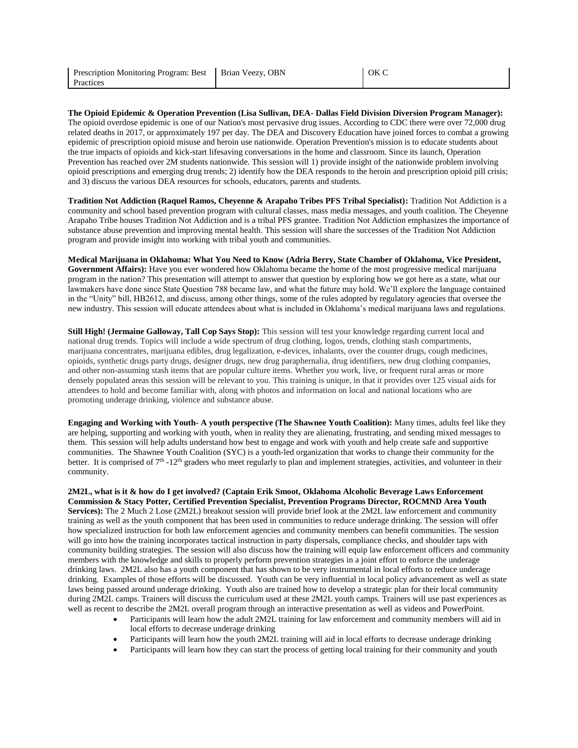| Prescription Monitoring Program: Best   Brian Veezy, OBN | OK C |
|----------------------------------------------------------|------|
| Practices                                                |      |

**The Opioid Epidemic & Operation Prevention (Lisa Sullivan, DEA- Dallas Field Division Diversion Program Manager):** The opioid overdose epidemic is one of our Nation's most pervasive drug issues. According to CDC there were over 72,000 drug related deaths in 2017, or approximately 197 per day. The DEA and Discovery Education have joined forces to combat a growing epidemic of prescription opioid misuse and heroin use nationwide. Operation Prevention's mission is to educate students about the true impacts of opioids and kick-start lifesaving conversations in the home and classroom. Since its launch, Operation Prevention has reached over 2M students nationwide. This session will 1) provide insight of the nationwide problem involving opioid prescriptions and emerging drug trends; 2) identify how the DEA responds to the heroin and prescription opioid pill crisis; and 3) discuss the various DEA resources for schools, educators, parents and students.

**Tradition Not Addiction (Raquel Ramos, Cheyenne & Arapaho Tribes PFS Tribal Specialist):** Tradition Not Addiction is a community and school based prevention program with cultural classes, mass media messages, and youth coalition. The Cheyenne Arapaho Tribe houses Tradition Not Addiction and is a tribal PFS grantee. Tradition Not Addiction emphasizes the importance of substance abuse prevention and improving mental health. This session will share the successes of the Tradition Not Addiction program and provide insight into working with tribal youth and communities.

**Medical Marijuana in Oklahoma: What You Need to Know (Adria Berry, State Chamber of Oklahoma, Vice President, Government Affairs):** Have you ever wondered how Oklahoma became the home of the most progressive medical marijuana program in the nation? This presentation will attempt to answer that question by exploring how we got here as a state, what our lawmakers have done since State Question 788 became law, and what the future may hold. We'll explore the language contained in the "Unity" bill, HB2612, and discuss, among other things, some of the rules adopted by regulatory agencies that oversee the new industry. This session will educate attendees about what is included in Oklahoma's medical marijuana laws and regulations.

**Still High! (Jermaine Galloway, Tall Cop Says Stop):** This session will test your knowledge regarding current local and national drug trends. Topics will include a wide spectrum of drug clothing, logos, trends, clothing stash compartments, marijuana concentrates, marijuana edibles, drug legalization, e-devices, inhalants, over the counter drugs, cough medicines, opioids, synthetic drugs party drugs, designer drugs, new drug paraphernalia, drug identifiers, new drug clothing companies, and other non-assuming stash items that are popular culture items. Whether you work, live, or frequent rural areas or more densely populated areas this session will be relevant to you. This training is unique, in that it provides over 125 visual aids for attendees to hold and become familiar with, along with photos and information on local and national locations who are promoting underage drinking, violence and substance abuse.

**Engaging and Working with Youth- A youth perspective (The Shawnee Youth Coalition):** Many times, adults feel like they are helping, supporting and working with youth, when in reality they are alienating, frustrating, and sending mixed messages to them. This session will help adults understand how best to engage and work with youth and help create safe and supportive communities. The Shawnee Youth Coalition (SYC) is a youth-led organization that works to change their community for the better. It is comprised of  $7<sup>th</sup> - 12<sup>th</sup>$  graders who meet regularly to plan and implement strategies, activities, and volunteer in their community.

2M2L, what is it & how do I get involved? (Captain Erik Smoot, Oklahoma Alcoholic Beverage Laws Enforcement **Commission & Stacy Potter, Certified Prevention Specialist, Prevention Programs Director, ROCMND Area Youth Services):** The 2 Much 2 Lose (2M2L) breakout session will provide brief look at the 2M2L law enforcement and community training as well as the youth component that has been used in communities to reduce underage drinking. The session will offer how specialized instruction for both law enforcement agencies and community members can benefit communities. The session will go into how the training incorporates tactical instruction in party dispersals, compliance checks, and shoulder taps with community building strategies. The session will also discuss how the training will equip law enforcement officers and community members with the knowledge and skills to properly perform prevention strategies in a joint effort to enforce the underage drinking laws. 2M2L also has a youth component that has shown to be very instrumental in local efforts to reduce underage drinking. Examples of those efforts will be discussed. Youth can be very influential in local policy advancement as well as state laws being passed around underage drinking. Youth also are trained how to develop a strategic plan for their local community during 2M2L camps. Trainers will discuss the curriculum used at these 2M2L youth camps. Trainers will use past experiences as well as recent to describe the 2M2L overall program through an interactive presentation as well as videos and PowerPoint.

- Participants will learn how the adult 2M2L training for law enforcement and community members will aid in local efforts to decrease underage drinking
- Participants will learn how the youth 2M2L training will aid in local efforts to decrease underage drinking
- Participants will learn how they can start the process of getting local training for their community and youth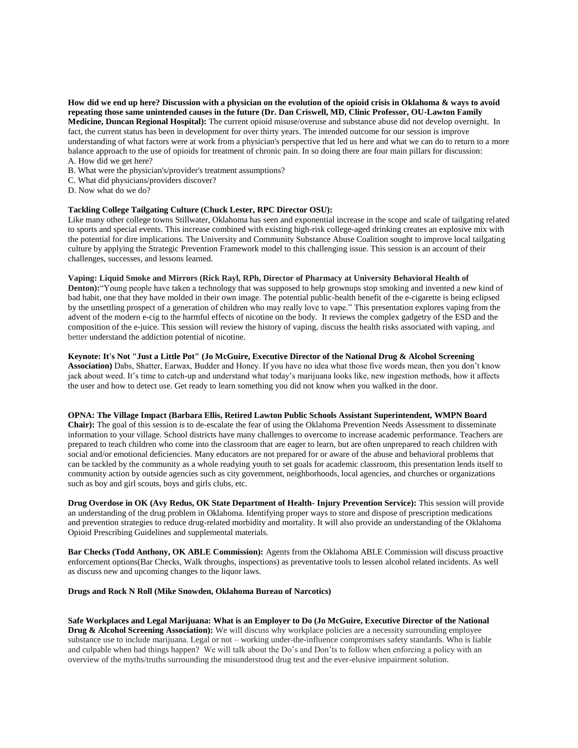**How did we end up here? Discussion with a physician on the evolution of the opioid crisis in Oklahoma & ways to avoid repeating those same unintended causes in the future (Dr. Dan Criswell, MD, Clinic Professor, OU-Lawton Family Medicine, Duncan Regional Hospital):** The current opioid misuse/overuse and substance abuse did not develop overnight. In fact, the current status has been in development for over thirty years. The intended outcome for our session is improve understanding of what factors were at work from a physician's perspective that led us here and what we can do to return to a more balance approach to the use of opioids for treatment of chronic pain. In so doing there are four main pillars for discussion: A. How did we get here?

- B. What were the physician's/provider's treatment assumptions?
- C. What did physicians/providers discover?
- D. Now what do we do?

### **Tackling College Tailgating Culture (Chuck Lester, RPC Director OSU):**

Like many other college towns Stillwater, Oklahoma has seen and exponential increase in the scope and scale of tailgating related to sports and special events. This increase combined with existing high-risk college-aged drinking creates an explosive mix with the potential for dire implications. The University and Community Substance Abuse Coalition sought to improve local tailgating culture by applying the Strategic Prevention Framework model to this challenging issue. This session is an account of their challenges, successes, and lessons learned.

#### **Vaping: Liquid Smoke and Mirrors (Rick Rayl, RPh, Director of Pharmacy at University Behavioral Health of**

**Denton):**"Young people have taken a technology that was supposed to help grownups stop smoking and invented a new kind of bad habit, one that they have molded in their own image. The potential public-health benefit of the e-cigarette is being eclipsed by the unsettling prospect of a generation of children who may really love to vape." This presentation explores vaping from the advent of the modern e-cig to the harmful effects of nicotine on the body. It reviews the complex gadgetry of the ESD and the composition of the e-juice. This session will review the history of vaping, discuss the health risks associated with vaping, and better understand the addiction potential of nicotine.

### **Keynote: It's Not "Just a Little Pot" (Jo McGuire, Executive Director of the National Drug & Alcohol Screening**

**Association)** Dabs, Shatter, Earwax, Budder and Honey. If you have no idea what those five words mean, then you don't know jack about weed. It's time to catch-up and understand what today's marijuana looks like, new ingestion methods, how it affects the user and how to detect use. Get ready to learn something you did not know when you walked in the door.

### **OPNA: The Village Impact (Barbara Ellis, Retired Lawton Public Schools Assistant Superintendent, WMPN Board**

**Chair):** The goal of this session is to de-escalate the fear of using the Oklahoma Prevention Needs Assessment to disseminate information to your village. School districts have many challenges to overcome to increase academic performance. Teachers are prepared to teach children who come into the classroom that are eager to learn, but are often unprepared to reach children with social and/or emotional deficiencies. Many educators are not prepared for or aware of the abuse and behavioral problems that can be tackled by the community as a whole readying youth to set goals for academic classroom, this presentation lends itself to community action by outside agencies such as city government, neighborhoods, local agencies, and churches or organizations such as boy and girl scouts, boys and girls clubs, etc.

**Drug Overdose in OK (Avy Redus, OK State Department of Health- Injury Prevention Service):** This session will provide an understanding of the drug problem in Oklahoma. Identifying proper ways to store and dispose of prescription medications and prevention strategies to reduce drug-related morbidity and mortality. It will also provide an understanding of the Oklahoma Opioid Prescribing Guidelines and supplemental materials.

**Bar Checks (Todd Anthony, OK ABLE Commission):** Agents from the Oklahoma ABLE Commission will discuss proactive enforcement options(Bar Checks, Walk throughs, inspections) as preventative tools to lessen alcohol related incidents. As well as discuss new and upcoming changes to the liquor laws.

### **Drugs and Rock N Roll (Mike Snowden, Oklahoma Bureau of Narcotics)**

**Safe Workplaces and Legal Marijuana: What is an Employer to Do (Jo McGuire, Executive Director of the National Drug & Alcohol Screening Association):** We will discuss why workplace policies are a necessity surrounding employee substance use to include marijuana. Legal or not – working under-the-influence compromises safety standards. Who is liable and culpable when bad things happen? We will talk about the Do's and Don'ts to follow when enforcing a policy with an overview of the myths/truths surrounding the misunderstood drug test and the ever-elusive impairment solution.